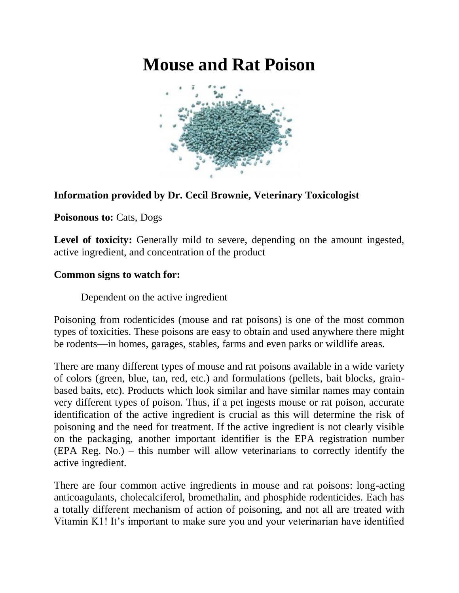## **Mouse and Rat Poison**



## **Information provided by Dr. Cecil Brownie, Veterinary Toxicologist**

Poisonous to: Cats, Dogs

Level of toxicity: Generally mild to severe, depending on the amount ingested, active ingredient, and concentration of the product

## **Common signs to watch for:**

Dependent on the active ingredient

Poisoning from rodenticides (mouse and rat poisons) is one of the most common types of toxicities. These poisons are easy to obtain and used anywhere there might be rodents—in homes, garages, stables, farms and even parks or wildlife areas.

There are many different types of mouse and rat poisons available in a wide variety of colors (green, blue, tan, red, etc.) and formulations (pellets, bait blocks, grainbased baits, etc). Products which look similar and have similar names may contain very different types of poison. Thus, if a pet ingests mouse or rat poison, accurate identification of the active ingredient is crucial as this will determine the risk of poisoning and the need for treatment. If the active ingredient is not clearly visible on the packaging, another important identifier is the EPA registration number (EPA Reg. No.) – this number will allow veterinarians to correctly identify the active ingredient.

There are four common active ingredients in mouse and rat poisons: long-acting anticoagulants, cholecalciferol, bromethalin, and phosphide rodenticides. Each has a totally different mechanism of action of poisoning, and not all are treated with Vitamin K1! It's important to make sure you and your veterinarian have identified